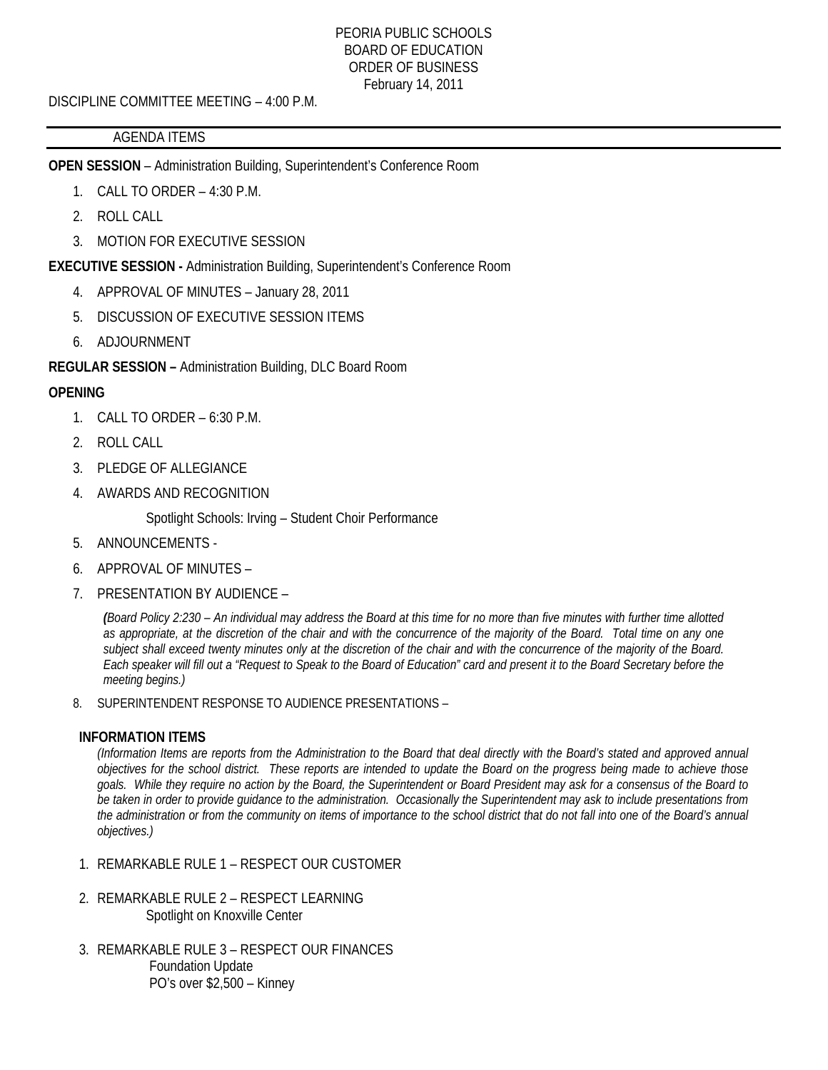### PEORIA PUBLIC SCHOOLS BOARD OF EDUCATION ORDER OF BUSINESS February 14, 2011

DISCIPLINE COMMITTEE MEETING – 4:00 P.M.

# AGENDA ITEMS

**OPEN SESSION** – Administration Building, Superintendent's Conference Room

- 1. CALL TO ORDER 4:30 P.M.
- 2. ROLL CALL
- 3. MOTION FOR EXECUTIVE SESSION

**EXECUTIVE SESSION -** Administration Building, Superintendent's Conference Room

- 4. APPROVAL OF MINUTES January 28, 2011
- 5. DISCUSSION OF EXECUTIVE SESSION ITEMS
- 6. ADJOURNMENT

**REGULAR SESSION –** Administration Building, DLC Board Room

# **OPENING**

- 1. CALL TO ORDER 6:30 P.M.
- 2. ROLL CALL
- 3. PLEDGE OF ALLEGIANCE
- 4. AWARDS AND RECOGNITION

Spotlight Schools: Irving – Student Choir Performance

- 5. ANNOUNCEMENTS -
- 6. APPROVAL OF MINUTES –
- 7. PRESENTATION BY AUDIENCE –

*(Board Policy 2:230 – An individual may address the Board at this time for no more than five minutes with further time allotted as appropriate, at the discretion of the chair and with the concurrence of the majority of the Board. Total time on any one subject shall exceed twenty minutes only at the discretion of the chair and with the concurrence of the majority of the Board. Each speaker will fill out a "Request to Speak to the Board of Education" card and present it to the Board Secretary before the meeting begins.)* 

8. SUPERINTENDENT RESPONSE TO AUDIENCE PRESENTATIONS –

### **INFORMATION ITEMS**

*(Information Items are reports from the Administration to the Board that deal directly with the Board's stated and approved annual objectives for the school district. These reports are intended to update the Board on the progress being made to achieve those goals. While they require no action by the Board, the Superintendent or Board President may ask for a consensus of the Board to be taken in order to provide guidance to the administration. Occasionally the Superintendent may ask to include presentations from the administration or from the community on items of importance to the school district that do not fall into one of the Board's annual objectives.)* 

- 1. REMARKABLE RULE 1 RESPECT OUR CUSTOMER
- 2. REMARKABLE RULE 2 RESPECT LEARNING Spotlight on Knoxville Center
- 3. REMARKABLE RULE 3 RESPECT OUR FINANCES Foundation Update PO's over \$2,500 – Kinney